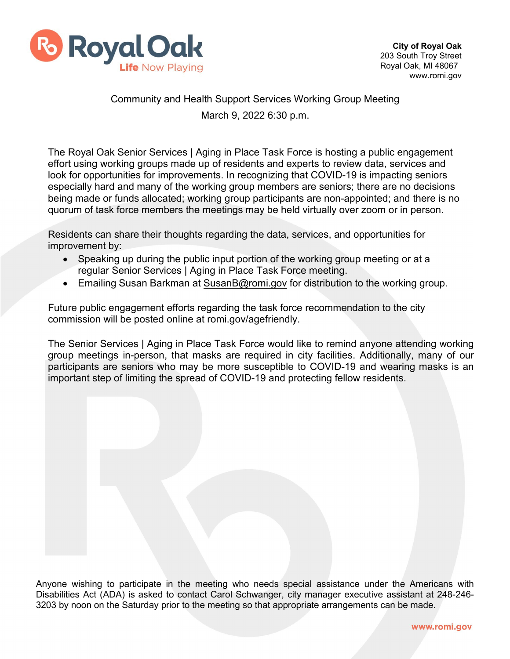

## Community and Health Support Services Working Group Meeting March 9, 2022 6:30 p.m.

The Royal Oak Senior Services | Aging in Place Task Force is hosting a public engagement effort using working groups made up of residents and experts to review data, services and look for opportunities for improvements. In recognizing that COVID-19 is impacting seniors especially hard and many of the working group members are seniors; there are no decisions being made or funds allocated; working group participants are non-appointed; and there is no quorum of task force members the meetings may be held virtually over zoom or in person.

Residents can share their thoughts regarding the data, services, and opportunities for improvement by:

- Speaking up during the public input portion of the working group meeting or at a regular Senior Services | Aging in Place Task Force meeting.
- Emailing Susan Barkman at [SusanB@romi.gov](mailto:SusanB@romi.gov) for distribution to the working group.

Future public engagement efforts regarding the task force recommendation to the city commission will be posted online at romi.gov/agefriendly.

The Senior Services | Aging in Place Task Force would like to remind anyone attending working group meetings in-person, that masks are required in city facilities. Additionally, many of our participants are seniors who may be more susceptible to COVID-19 and wearing masks is an important step of limiting the spread of COVID-19 and protecting fellow residents.

Anyone wishing to participate in the meeting who needs special assistance under the Americans with Disabilities Act (ADA) is asked to contact Carol Schwanger, city manager executive assistant at 248-246- 3203 by noon on the Saturday prior to the meeting so that appropriate arrangements can be made.